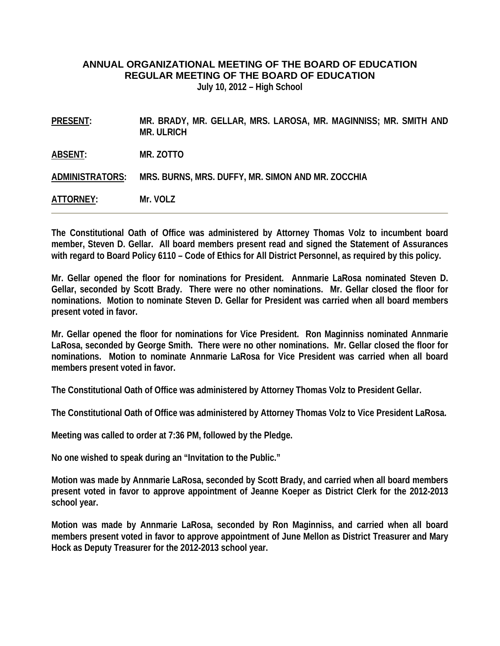## **ANNUAL ORGANIZATIONAL MEETING OF THE BOARD OF EDUCATION REGULAR MEETING OF THE BOARD OF EDUCATION**

**July 10, 2012 – High School** 

| <b>PRESENT:</b> | MR. BRADY, MR. GELLAR, MRS. LAROSA, MR. MAGINNISS; MR. SMITH AND<br><b>MR. ULRICH</b> |
|-----------------|---------------------------------------------------------------------------------------|
| ABSENT:         | MR. ZOTTO                                                                             |
| ADMINISTRATORS: | MRS. BURNS, MRS. DUFFY, MR. SIMON AND MR. ZOCCHIA                                     |
| ATTORNEY:       | Mr. VOLZ                                                                              |

**The Constitutional Oath of Office was administered by Attorney Thomas Volz to incumbent board member, Steven D. Gellar. All board members present read and signed the Statement of Assurances with regard to Board Policy 6110 – Code of Ethics for All District Personnel, as required by this policy.** 

**Mr. Gellar opened the floor for nominations for President. Annmarie LaRosa nominated Steven D. Gellar, seconded by Scott Brady. There were no other nominations. Mr. Gellar closed the floor for nominations. Motion to nominate Steven D. Gellar for President was carried when all board members present voted in favor.** 

**Mr. Gellar opened the floor for nominations for Vice President. Ron Maginniss nominated Annmarie LaRosa, seconded by George Smith. There were no other nominations. Mr. Gellar closed the floor for nominations. Motion to nominate Annmarie LaRosa for Vice President was carried when all board members present voted in favor.** 

**The Constitutional Oath of Office was administered by Attorney Thomas Volz to President Gellar.** 

**The Constitutional Oath of Office was administered by Attorney Thomas Volz to Vice President LaRosa.** 

**Meeting was called to order at 7:36 PM, followed by the Pledge.** 

**No one wished to speak during an "Invitation to the Public."** 

**Motion was made by Annmarie LaRosa, seconded by Scott Brady, and carried when all board members present voted in favor to approve appointment of Jeanne Koeper as District Clerk for the 2012-2013 school year.** 

**Motion was made by Annmarie LaRosa, seconded by Ron Maginniss, and carried when all board members present voted in favor to approve appointment of June Mellon as District Treasurer and Mary Hock as Deputy Treasurer for the 2012-2013 school year.**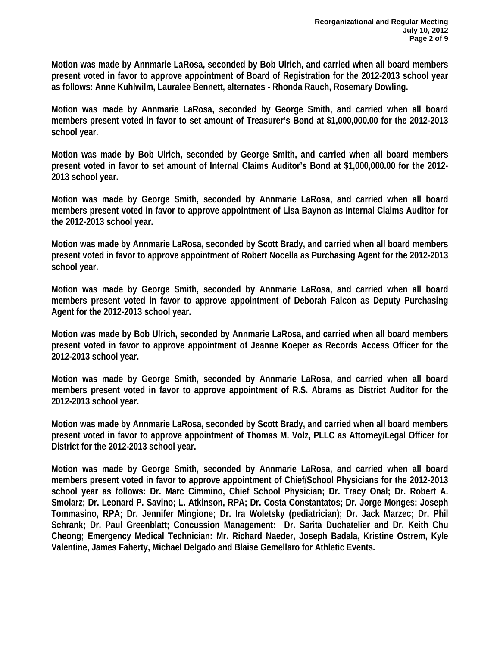**Motion was made by Annmarie LaRosa, seconded by Bob Ulrich, and carried when all board members present voted in favor to approve appointment of Board of Registration for the 2012-2013 school year as follows: Anne Kuhlwilm, Lauralee Bennett, alternates - Rhonda Rauch, Rosemary Dowling.** 

**Motion was made by Annmarie LaRosa, seconded by George Smith, and carried when all board members present voted in favor to set amount of Treasurer's Bond at \$1,000,000.00 for the 2012-2013 school year.** 

**Motion was made by Bob Ulrich, seconded by George Smith, and carried when all board members present voted in favor to set amount of Internal Claims Auditor's Bond at \$1,000,000.00 for the 2012- 2013 school year.** 

**Motion was made by George Smith, seconded by Annmarie LaRosa, and carried when all board members present voted in favor to approve appointment of Lisa Baynon as Internal Claims Auditor for the 2012-2013 school year.** 

**Motion was made by Annmarie LaRosa, seconded by Scott Brady, and carried when all board members present voted in favor to approve appointment of Robert Nocella as Purchasing Agent for the 2012-2013 school year.** 

**Motion was made by George Smith, seconded by Annmarie LaRosa, and carried when all board members present voted in favor to approve appointment of Deborah Falcon as Deputy Purchasing Agent for the 2012-2013 school year.** 

**Motion was made by Bob Ulrich, seconded by Annmarie LaRosa, and carried when all board members present voted in favor to approve appointment of Jeanne Koeper as Records Access Officer for the 2012-2013 school year.** 

**Motion was made by George Smith, seconded by Annmarie LaRosa, and carried when all board members present voted in favor to approve appointment of R.S. Abrams as District Auditor for the 2012-2013 school year.** 

**Motion was made by Annmarie LaRosa, seconded by Scott Brady, and carried when all board members present voted in favor to approve appointment of Thomas M. Volz, PLLC as Attorney/Legal Officer for District for the 2012-2013 school year.** 

**Motion was made by George Smith, seconded by Annmarie LaRosa, and carried when all board members present voted in favor to approve appointment of Chief/School Physicians for the 2012-2013 school year as follows: Dr. Marc Cimmino, Chief School Physician; Dr. Tracy Onal; Dr. Robert A. Smolarz; Dr. Leonard P. Savino; L. Atkinson, RPA; Dr. Costa Constantatos; Dr. Jorge Monges; Joseph Tommasino, RPA; Dr. Jennifer Mingione; Dr. Ira Woletsky (pediatrician); Dr. Jack Marzec; Dr. Phil Schrank; Dr. Paul Greenblatt; Concussion Management: Dr. Sarita Duchatelier and Dr. Keith Chu Cheong; Emergency Medical Technician: Mr. Richard Naeder, Joseph Badala, Kristine Ostrem, Kyle Valentine, James Faherty, Michael Delgado and Blaise Gemellaro for Athletic Events.**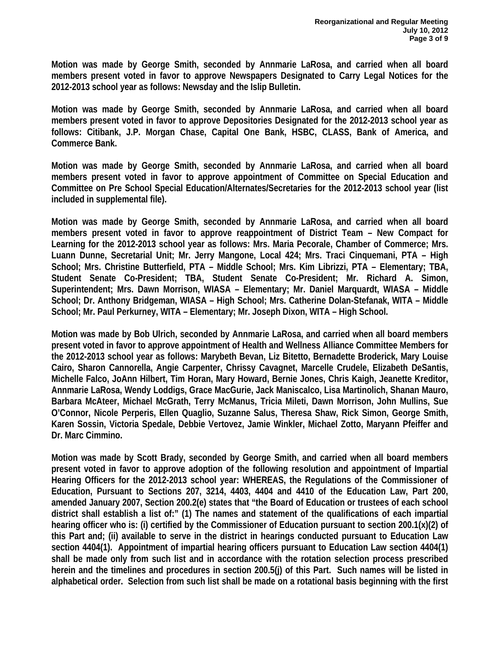**Motion was made by George Smith, seconded by Annmarie LaRosa, and carried when all board members present voted in favor to approve Newspapers Designated to Carry Legal Notices for the 2012-2013 school year as follows: Newsday and the Islip Bulletin.** 

**Motion was made by George Smith, seconded by Annmarie LaRosa, and carried when all board members present voted in favor to approve Depositories Designated for the 2012-2013 school year as follows: Citibank, J.P. Morgan Chase, Capital One Bank, HSBC, CLASS, Bank of America, and Commerce Bank.** 

**Motion was made by George Smith, seconded by Annmarie LaRosa, and carried when all board members present voted in favor to approve appointment of Committee on Special Education and Committee on Pre School Special Education/Alternates/Secretaries for the 2012-2013 school year (list included in supplemental file).** 

**Motion was made by George Smith, seconded by Annmarie LaRosa, and carried when all board members present voted in favor to approve reappointment of District Team – New Compact for Learning for the 2012-2013 school year as follows: Mrs. Maria Pecorale, Chamber of Commerce; Mrs. Luann Dunne, Secretarial Unit; Mr. Jerry Mangone, Local 424; Mrs. Traci Cinquemani, PTA – High School; Mrs. Christine Butterfield, PTA – Middle School; Mrs. Kim Librizzi, PTA – Elementary; TBA, Student Senate Co-President; TBA, Student Senate Co-President; Mr. Richard A. Simon, Superintendent; Mrs. Dawn Morrison, WIASA – Elementary; Mr. Daniel Marquardt, WIASA – Middle School; Dr. Anthony Bridgeman, WIASA – High School; Mrs. Catherine Dolan-Stefanak, WITA – Middle School; Mr. Paul Perkurney, WITA – Elementary; Mr. Joseph Dixon, WITA – High School.** 

**Motion was made by Bob Ulrich, seconded by Annmarie LaRosa, and carried when all board members present voted in favor to approve appointment of Health and Wellness Alliance Committee Members for the 2012-2013 school year as follows: Marybeth Bevan, Liz Bitetto, Bernadette Broderick, Mary Louise Cairo, Sharon Cannorella, Angie Carpenter, Chrissy Cavagnet, Marcelle Crudele, Elizabeth DeSantis, Michelle Falco, JoAnn Hilbert, Tim Horan, Mary Howard, Bernie Jones, Chris Kaigh, Jeanette Kreditor, Annmarie LaRosa, Wendy Loddigs, Grace MacGurie, Jack Maniscalco, Lisa Martinolich, Shanan Mauro, Barbara McAteer, Michael McGrath, Terry McManus, Tricia Mileti, Dawn Morrison, John Mullins, Sue O'Connor, Nicole Perperis, Ellen Quaglio, Suzanne Salus, Theresa Shaw, Rick Simon, George Smith, Karen Sossin, Victoria Spedale, Debbie Vertovez, Jamie Winkler, Michael Zotto, Maryann Pfeiffer and Dr. Marc Cimmino.** 

**Motion was made by Scott Brady, seconded by George Smith, and carried when all board members present voted in favor to approve adoption of the following resolution and appointment of Impartial Hearing Officers for the 2012-2013 school year: WHEREAS, the Regulations of the Commissioner of Education, Pursuant to Sections 207, 3214, 4403, 4404 and 4410 of the Education Law, Part 200, amended January 2007, Section 200.2(e) states that "the Board of Education or trustees of each school district shall establish a list of:" (1) The names and statement of the qualifications of each impartial hearing officer who is: (i) certified by the Commissioner of Education pursuant to section 200.1(x)(2) of this Part and; (ii) available to serve in the district in hearings conducted pursuant to Education Law section 4404(1). Appointment of impartial hearing officers pursuant to Education Law section 4404(1) shall be made only from such list and in accordance with the rotation selection process prescribed herein and the timelines and procedures in section 200.5(j) of this Part. Such names will be listed in alphabetical order. Selection from such list shall be made on a rotational basis beginning with the first**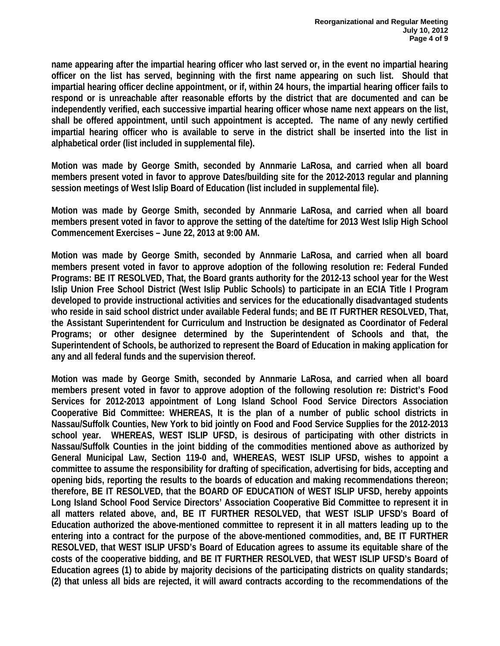**name appearing after the impartial hearing officer who last served or, in the event no impartial hearing officer on the list has served, beginning with the first name appearing on such list. Should that impartial hearing officer decline appointment, or if, within 24 hours, the impartial hearing officer fails to respond or is unreachable after reasonable efforts by the district that are documented and can be independently verified, each successive impartial hearing officer whose name next appears on the list, shall be offered appointment, until such appointment is accepted. The name of any newly certified impartial hearing officer who is available to serve in the district shall be inserted into the list in alphabetical order (list included in supplemental file).** 

**Motion was made by George Smith, seconded by Annmarie LaRosa, and carried when all board members present voted in favor to approve Dates/building site for the 2012-2013 regular and planning session meetings of West Islip Board of Education (list included in supplemental file).** 

**Motion was made by George Smith, seconded by Annmarie LaRosa, and carried when all board members present voted in favor to approve the setting of the date/time for 2013 West Islip High School Commencement Exercises – June 22, 2013 at 9:00 AM.** 

**Motion was made by George Smith, seconded by Annmarie LaRosa, and carried when all board members present voted in favor to approve adoption of the following resolution re: Federal Funded Programs: BE IT RESOLVED, That, the Board grants authority for the 2012-13 school year for the West Islip Union Free School District (West Islip Public Schools) to participate in an ECIA Title I Program developed to provide instructional activities and services for the educationally disadvantaged students who reside in said school district under available Federal funds; and BE IT FURTHER RESOLVED, That, the Assistant Superintendent for Curriculum and Instruction be designated as Coordinator of Federal Programs; or other designee determined by the Superintendent of Schools and that, the Superintendent of Schools, be authorized to represent the Board of Education in making application for any and all federal funds and the supervision thereof.** 

**Motion was made by George Smith, seconded by Annmarie LaRosa, and carried when all board members present voted in favor to approve adoption of the following resolution re: District's Food Services for 2012-2013 appointment of Long Island School Food Service Directors Association Cooperative Bid Committee: WHEREAS, It is the plan of a number of public school districts in Nassau/Suffolk Counties, New York to bid jointly on Food and Food Service Supplies for the 2012-2013 school year. WHEREAS, WEST ISLIP UFSD, is desirous of participating with other districts in Nassau/Suffolk Counties in the joint bidding of the commodities mentioned above as authorized by General Municipal Law, Section 119-0 and, WHEREAS, WEST ISLIP UFSD, wishes to appoint a committee to assume the responsibility for drafting of specification, advertising for bids, accepting and opening bids, reporting the results to the boards of education and making recommendations thereon; therefore, BE IT RESOLVED, that the BOARD OF EDUCATION of WEST ISLIP UFSD, hereby appoints Long Island School Food Service Directors' Association Cooperative Bid Committee to represent it in all matters related above, and, BE IT FURTHER RESOLVED, that WEST ISLIP UFSD's Board of Education authorized the above-mentioned committee to represent it in all matters leading up to the entering into a contract for the purpose of the above-mentioned commodities, and, BE IT FURTHER RESOLVED, that WEST ISLIP UFSD's Board of Education agrees to assume its equitable share of the costs of the cooperative bidding, and BE IT FURTHER RESOLVED, that WEST ISLIP UFSD's Board of Education agrees (1) to abide by majority decisions of the participating districts on quality standards; (2) that unless all bids are rejected, it will award contracts according to the recommendations of the**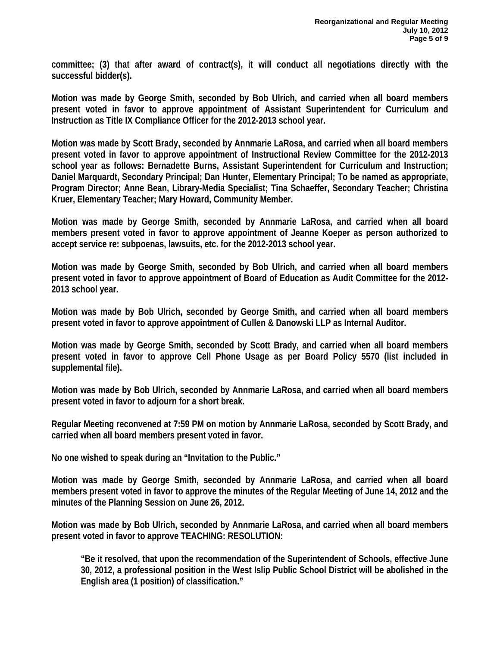**committee; (3) that after award of contract(s), it will conduct all negotiations directly with the successful bidder(s).** 

**Motion was made by George Smith, seconded by Bob Ulrich, and carried when all board members present voted in favor to approve appointment of Assistant Superintendent for Curriculum and Instruction as Title IX Compliance Officer for the 2012-2013 school year.** 

**Motion was made by Scott Brady, seconded by Annmarie LaRosa, and carried when all board members present voted in favor to approve appointment of Instructional Review Committee for the 2012-2013 school year as follows: Bernadette Burns, Assistant Superintendent for Curriculum and Instruction; Daniel Marquardt, Secondary Principal; Dan Hunter, Elementary Principal; To be named as appropriate, Program Director; Anne Bean, Library-Media Specialist; Tina Schaeffer, Secondary Teacher; Christina Kruer, Elementary Teacher; Mary Howard, Community Member.** 

**Motion was made by George Smith, seconded by Annmarie LaRosa, and carried when all board members present voted in favor to approve appointment of Jeanne Koeper as person authorized to accept service re: subpoenas, lawsuits, etc. for the 2012-2013 school year.** 

**Motion was made by George Smith, seconded by Bob Ulrich, and carried when all board members present voted in favor to approve appointment of Board of Education as Audit Committee for the 2012- 2013 school year.** 

**Motion was made by Bob Ulrich, seconded by George Smith, and carried when all board members present voted in favor to approve appointment of Cullen & Danowski LLP as Internal Auditor.** 

**Motion was made by George Smith, seconded by Scott Brady, and carried when all board members present voted in favor to approve Cell Phone Usage as per Board Policy 5570 (list included in supplemental file).** 

**Motion was made by Bob Ulrich, seconded by Annmarie LaRosa, and carried when all board members present voted in favor to adjourn for a short break.** 

**Regular Meeting reconvened at 7:59 PM on motion by Annmarie LaRosa, seconded by Scott Brady, and carried when all board members present voted in favor.** 

**No one wished to speak during an "Invitation to the Public."** 

**Motion was made by George Smith, seconded by Annmarie LaRosa, and carried when all board members present voted in favor to approve the minutes of the Regular Meeting of June 14, 2012 and the minutes of the Planning Session on June 26, 2012.** 

**Motion was made by Bob Ulrich, seconded by Annmarie LaRosa, and carried when all board members present voted in favor to approve TEACHING: RESOLUTION:** 

**"Be it resolved, that upon the recommendation of the Superintendent of Schools, effective June 30, 2012, a professional position in the West Islip Public School District will be abolished in the English area (1 position) of classification."**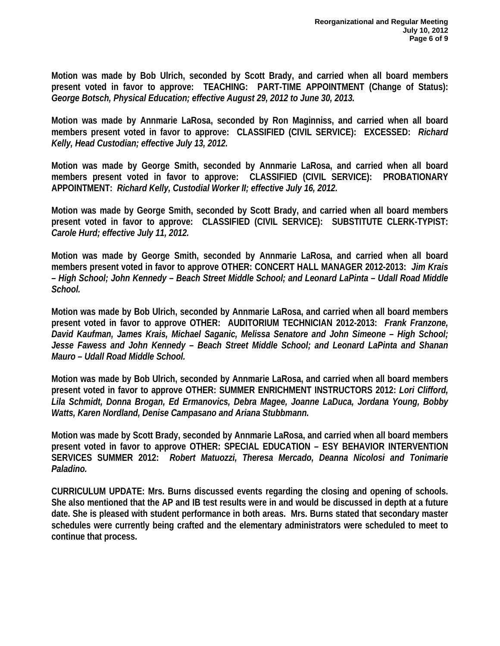**Motion was made by Bob Ulrich, seconded by Scott Brady, and carried when all board members present voted in favor to approve: TEACHING: PART-TIME APPOINTMENT (Change of Status):**  *George Botsch, Physical Education; effective August 29, 2012 to June 30, 2013.* 

**Motion was made by Annmarie LaRosa, seconded by Ron Maginniss, and carried when all board members present voted in favor to approve: CLASSIFIED (CIVIL SERVICE): EXCESSED:** *Richard Kelly, Head Custodian; effective July 13, 2012.* 

**Motion was made by George Smith, seconded by Annmarie LaRosa, and carried when all board members present voted in favor to approve: CLASSIFIED (CIVIL SERVICE): PROBATIONARY APPOINTMENT:** *Richard Kelly, Custodial Worker II; effective July 16, 2012.* 

**Motion was made by George Smith, seconded by Scott Brady, and carried when all board members present voted in favor to approve: CLASSIFIED (CIVIL SERVICE): SUBSTITUTE CLERK-TYPIST:**  *Carole Hurd; effective July 11, 2012.* 

**Motion was made by George Smith, seconded by Annmarie LaRosa, and carried when all board members present voted in favor to approve OTHER: CONCERT HALL MANAGER 2012-2013:** *Jim Krais – High School; John Kennedy – Beach Street Middle School; and Leonard LaPinta – Udall Road Middle School.* 

**Motion was made by Bob Ulrich, seconded by Annmarie LaRosa, and carried when all board members present voted in favor to approve OTHER: AUDITORIUM TECHNICIAN 2012-2013:** *Frank Franzone, David Kaufman, James Krais, Michael Saganic, Melissa Senatore and John Simeone – High School; Jesse Fawess and John Kennedy – Beach Street Middle School; and Leonard LaPinta and Shanan Mauro – Udall Road Middle School.* 

**Motion was made by Bob Ulrich, seconded by Annmarie LaRosa, and carried when all board members present voted in favor to approve OTHER: SUMMER ENRICHMENT INSTRUCTORS 2012:** *Lori Clifford, Lila Schmidt, Donna Brogan, Ed Ermanovics, Debra Magee, Joanne LaDuca, Jordana Young, Bobby Watts, Karen Nordland, Denise Campasano and Ariana Stubbmann.* 

**Motion was made by Scott Brady, seconded by Annmarie LaRosa, and carried when all board members present voted in favor to approve OTHER: SPECIAL EDUCATION – ESY BEHAVIOR INTERVENTION SERVICES SUMMER 2012:** *Robert Matuozzi, Theresa Mercado, Deanna Nicolosi and Tonimarie Paladino.* 

**CURRICULUM UPDATE: Mrs. Burns discussed events regarding the closing and opening of schools. She also mentioned that the AP and IB test results were in and would be discussed in depth at a future date. She is pleased with student performance in both areas. Mrs. Burns stated that secondary master schedules were currently being crafted and the elementary administrators were scheduled to meet to continue that process.**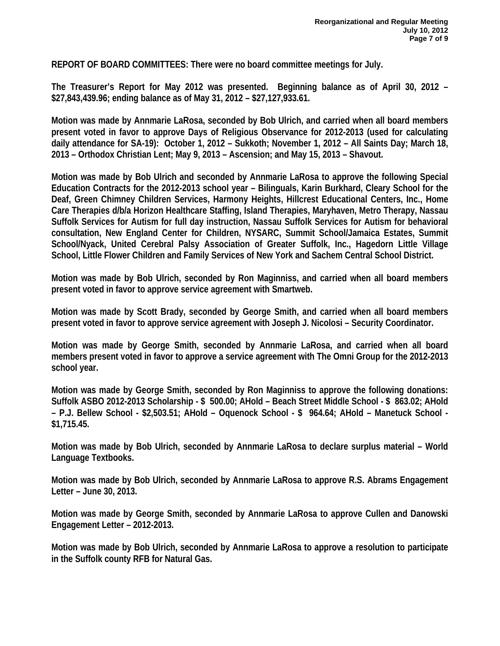**REPORT OF BOARD COMMITTEES: There were no board committee meetings for July.** 

**The Treasurer's Report for May 2012 was presented. Beginning balance as of April 30, 2012 – \$27,843,439.96; ending balance as of May 31, 2012 – \$27,127,933.61.** 

**Motion was made by Annmarie LaRosa, seconded by Bob Ulrich, and carried when all board members present voted in favor to approve Days of Religious Observance for 2012-2013 (used for calculating daily attendance for SA-19): October 1, 2012 – Sukkoth; November 1, 2012 – All Saints Day; March 18, 2013 – Orthodox Christian Lent; May 9, 2013 – Ascension; and May 15, 2013 – Shavout.** 

**Motion was made by Bob Ulrich and seconded by Annmarie LaRosa to approve the following Special Education Contracts for the 2012-2013 school year – Bilinguals, Karin Burkhard, Cleary School for the Deaf, Green Chimney Children Services, Harmony Heights, Hillcrest Educational Centers, Inc., Home Care Therapies d/b/a Horizon Healthcare Staffing, Island Therapies, Maryhaven, Metro Therapy, Nassau Suffolk Services for Autism for full day instruction, Nassau Suffolk Services for Autism for behavioral consultation, New England Center for Children, NYSARC, Summit School/Jamaica Estates, Summit School/Nyack, United Cerebral Palsy Association of Greater Suffolk, Inc., Hagedorn Little Village School, Little Flower Children and Family Services of New York and Sachem Central School District.** 

**Motion was made by Bob Ulrich, seconded by Ron Maginniss, and carried when all board members present voted in favor to approve service agreement with Smartweb.** 

**Motion was made by Scott Brady, seconded by George Smith, and carried when all board members present voted in favor to approve service agreement with Joseph J. Nicolosi – Security Coordinator.** 

**Motion was made by George Smith, seconded by Annmarie LaRosa, and carried when all board members present voted in favor to approve a service agreement with The Omni Group for the 2012-2013 school year.** 

**Motion was made by George Smith, seconded by Ron Maginniss to approve the following donations: Suffolk ASBO 2012-2013 Scholarship - \$ 500.00; AHold – Beach Street Middle School - \$ 863.02; AHold – P.J. Bellew School - \$2,503.51; AHold – Oquenock School - \$ 964.64; AHold – Manetuck School - \$1,715.45.** 

**Motion was made by Bob Ulrich, seconded by Annmarie LaRosa to declare surplus material – World Language Textbooks.** 

**Motion was made by Bob Ulrich, seconded by Annmarie LaRosa to approve R.S. Abrams Engagement Letter – June 30, 2013.** 

**Motion was made by George Smith, seconded by Annmarie LaRosa to approve Cullen and Danowski Engagement Letter – 2012-2013.** 

**Motion was made by Bob Ulrich, seconded by Annmarie LaRosa to approve a resolution to participate in the Suffolk county RFB for Natural Gas.**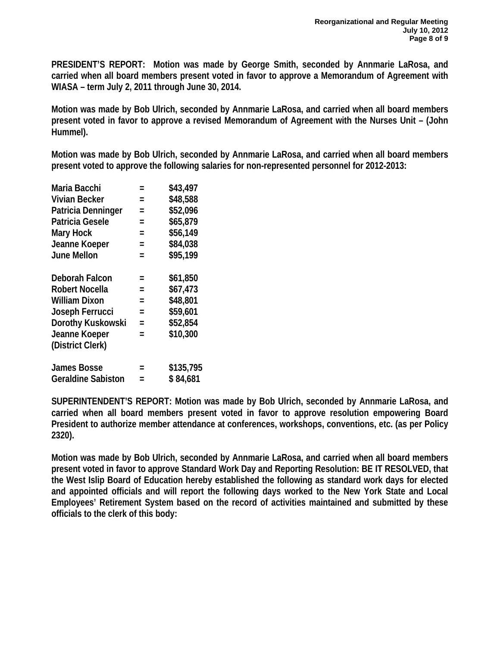**PRESIDENT'S REPORT: Motion was made by George Smith, seconded by Annmarie LaRosa, and carried when all board members present voted in favor to approve a Memorandum of Agreement with WIASA – term July 2, 2011 through June 30, 2014.** 

**Motion was made by Bob Ulrich, seconded by Annmarie LaRosa, and carried when all board members present voted in favor to approve a revised Memorandum of Agreement with the Nurses Unit – (John Hummel).** 

**Motion was made by Bob Ulrich, seconded by Annmarie LaRosa, and carried when all board members present voted to approve the following salaries for non-represented personnel for 2012-2013:** 

| =   | \$43,497  |
|-----|-----------|
| $=$ | \$48,588  |
| $=$ | \$52,096  |
| $=$ | \$65,879  |
| $=$ | \$56,149  |
| $=$ | \$84,038  |
| $=$ | \$95,199  |
| $=$ | \$61,850  |
| $=$ | \$67,473  |
| $=$ | \$48,801  |
| $=$ | \$59,601  |
| $=$ | \$52,854  |
| $=$ | \$10,300  |
|     |           |
| =   | \$135,795 |
|     | \$84,681  |
|     |           |

**SUPERINTENDENT'S REPORT: Motion was made by Bob Ulrich, seconded by Annmarie LaRosa, and carried when all board members present voted in favor to approve resolution empowering Board President to authorize member attendance at conferences, workshops, conventions, etc. (as per Policy 2320).** 

**Motion was made by Bob Ulrich, seconded by Annmarie LaRosa, and carried when all board members present voted in favor to approve Standard Work Day and Reporting Resolution: BE IT RESOLVED, that the West Islip Board of Education hereby established the following as standard work days for elected and appointed officials and will report the following days worked to the New York State and Local Employees' Retirement System based on the record of activities maintained and submitted by these officials to the clerk of this body:**